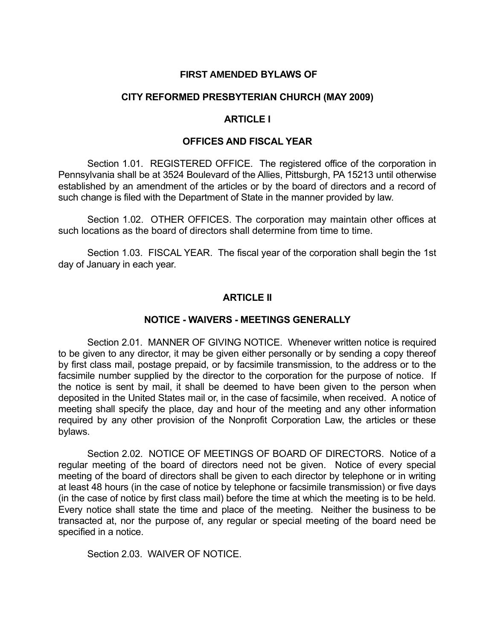## **FIRST AMENDED BYLAWS OF**

### **CITY REFORMED PRESBYTERIAN CHURCH (MAY 2009)**

### **ARTICLE I**

### **OFFICES AND FISCAL YEAR**

Section 1.01. REGISTERED OFFICE. The registered office of the corporation in Pennsylvania shall be at 3524 Boulevard of the Allies, Pittsburgh, PA 15213 until otherwise established by an amendment of the articles or by the board of directors and a record of such change is filed with the Department of State in the manner provided by law.

Section 1.02. OTHER OFFICES. The corporation may maintain other offices at such locations as the board of directors shall determine from time to time.

Section 1.03. FISCAL YEAR. The fiscal year of the corporation shall begin the 1st day of January in each year.

## **ARTICLE II**

### **NOTICE - WAIVERS - MEETINGS GENERALLY**

Section 2.01. MANNER OF GIVING NOTICE. Whenever written notice is required to be given to any director, it may be given either personally or by sending a copy thereof by first class mail, postage prepaid, or by facsimile transmission, to the address or to the facsimile number supplied by the director to the corporation for the purpose of notice. If the notice is sent by mail, it shall be deemed to have been given to the person when deposited in the United States mail or, in the case of facsimile, when received. A notice of meeting shall specify the place, day and hour of the meeting and any other information required by any other provision of the Nonprofit Corporation Law, the articles or these bylaws.

Section 2.02. NOTICE OF MEETINGS OF BOARD OF DIRECTORS. Notice of a regular meeting of the board of directors need not be given. Notice of every special meeting of the board of directors shall be given to each director by telephone or in writing at least 48 hours (in the case of notice by telephone or facsimile transmission) or five days (in the case of notice by first class mail) before the time at which the meeting is to be held. Every notice shall state the time and place of the meeting. Neither the business to be transacted at, nor the purpose of, any regular or special meeting of the board need be specified in a notice.

Section 2.03. WAIVER OF NOTICE.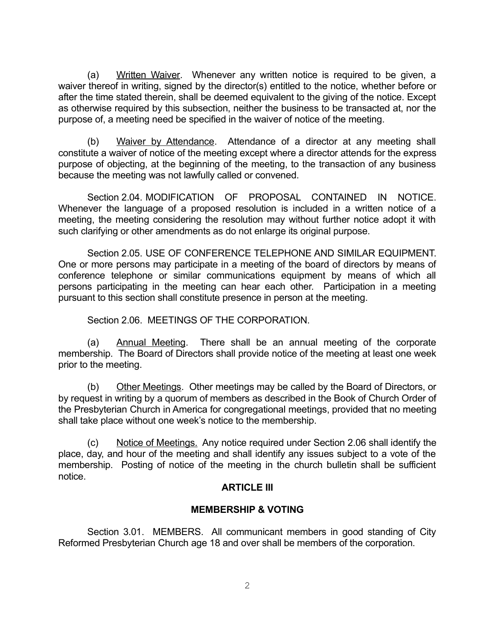(a) Written Waiver. Whenever any written notice is required to be given, a waiver thereof in writing, signed by the director(s) entitled to the notice, whether before or after the time stated therein, shall be deemed equivalent to the giving of the notice. Except as otherwise required by this subsection, neither the business to be transacted at, nor the purpose of, a meeting need be specified in the waiver of notice of the meeting.

(b) Waiver by Attendance. Attendance of a director at any meeting shall constitute a waiver of notice of the meeting except where a director attends for the express purpose of objecting, at the beginning of the meeting, to the transaction of any business because the meeting was not lawfully called or convened.

Section 2.04. MODIFICATION OF PROPOSAL CONTAINED IN NOTICE. Whenever the language of a proposed resolution is included in a written notice of a meeting, the meeting considering the resolution may without further notice adopt it with such clarifying or other amendments as do not enlarge its original purpose.

Section 2.05. USE OF CONFERENCE TELEPHONE AND SIMILAR EQUIPMENT. One or more persons may participate in a meeting of the board of directors by means of conference telephone or similar communications equipment by means of which all persons participating in the meeting can hear each other. Participation in a meeting pursuant to this section shall constitute presence in person at the meeting.

Section 2.06. MEETINGS OF THE CORPORATION.

(a) Annual Meeting. There shall be an annual meeting of the corporate membership. The Board of Directors shall provide notice of the meeting at least one week prior to the meeting.

(b) Other Meetings. Other meetings may be called by the Board of Directors, or by request in writing by a quorum of members as described in the Book of Church Order of the Presbyterian Church in America for congregational meetings, provided that no meeting shall take place without one week's notice to the membership.

(c) Notice of Meetings. Any notice required under Section 2.06 shall identify the place, day, and hour of the meeting and shall identify any issues subject to a vote of the membership. Posting of notice of the meeting in the church bulletin shall be sufficient notice.

# **ARTICLE III**

# **MEMBERSHIP & VOTING**

Section 3.01. MEMBERS. All communicant members in good standing of City Reformed Presbyterian Church age 18 and over shall be members of the corporation.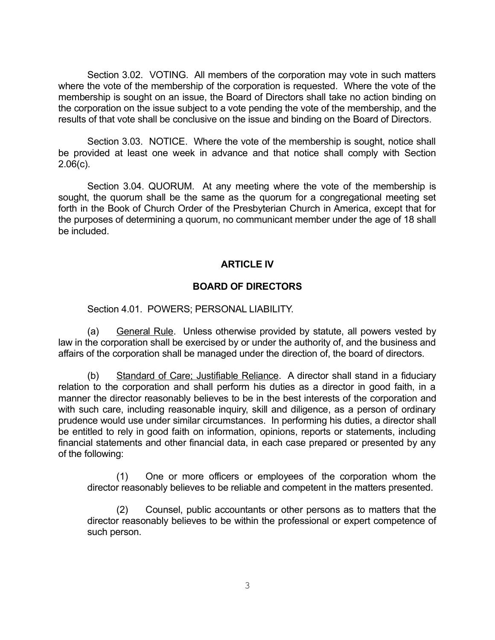Section 3.02. VOTING. All members of the corporation may vote in such matters where the vote of the membership of the corporation is requested. Where the vote of the membership is sought on an issue, the Board of Directors shall take no action binding on the corporation on the issue subject to a vote pending the vote of the membership, and the results of that vote shall be conclusive on the issue and binding on the Board of Directors.

Section 3.03. NOTICE. Where the vote of the membership is sought, notice shall be provided at least one week in advance and that notice shall comply with Section 2.06(c).

Section 3.04. QUORUM. At any meeting where the vote of the membership is sought, the quorum shall be the same as the quorum for a congregational meeting set forth in the Book of Church Order of the Presbyterian Church in America, except that for the purposes of determining a quorum, no communicant member under the age of 18 shall be included.

# **ARTICLE IV**

# **BOARD OF DIRECTORS**

Section 4.01. POWERS; PERSONAL LIABILITY.

(a) General Rule. Unless otherwise provided by statute, all powers vested by law in the corporation shall be exercised by or under the authority of, and the business and affairs of the corporation shall be managed under the direction of, the board of directors.

(b) Standard of Care; Justifiable Reliance. A director shall stand in a fiduciary relation to the corporation and shall perform his duties as a director in good faith, in a manner the director reasonably believes to be in the best interests of the corporation and with such care, including reasonable inquiry, skill and diligence, as a person of ordinary prudence would use under similar circumstances. In performing his duties, a director shall be entitled to rely in good faith on information, opinions, reports or statements, including financial statements and other financial data, in each case prepared or presented by any of the following:

(1) One or more officers or employees of the corporation whom the director reasonably believes to be reliable and competent in the matters presented.

(2) Counsel, public accountants or other persons as to matters that the director reasonably believes to be within the professional or expert competence of such person.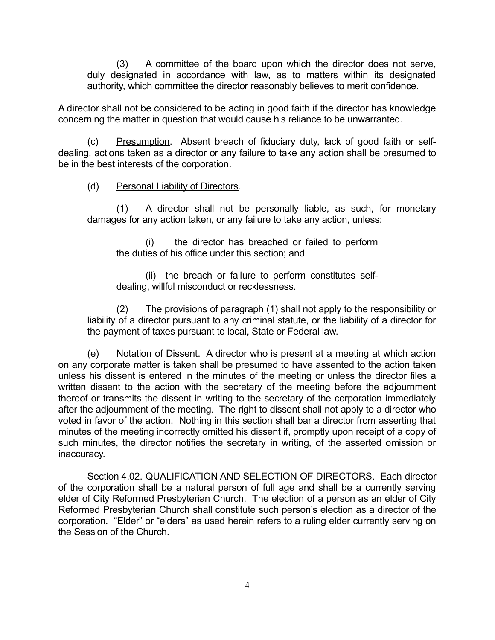(3) A committee of the board upon which the director does not serve, duly designated in accordance with law, as to matters within its designated authority, which committee the director reasonably believes to merit confidence.

A director shall not be considered to be acting in good faith if the director has knowledge concerning the matter in question that would cause his reliance to be unwarranted.

(c) Presumption. Absent breach of fiduciary duty, lack of good faith or selfdealing, actions taken as a director or any failure to take any action shall be presumed to be in the best interests of the corporation.

(d) Personal Liability of Directors.

(1) A director shall not be personally liable, as such, for monetary damages for any action taken, or any failure to take any action, unless:

(i) the director has breached or failed to perform the duties of his office under this section; and

(ii) the breach or failure to perform constitutes selfdealing, willful misconduct or recklessness.

(2) The provisions of paragraph (1) shall not apply to the responsibility or liability of a director pursuant to any criminal statute, or the liability of a director for the payment of taxes pursuant to local, State or Federal law.

(e) Notation of Dissent. A director who is present at a meeting at which action on any corporate matter is taken shall be presumed to have assented to the action taken unless his dissent is entered in the minutes of the meeting or unless the director files a written dissent to the action with the secretary of the meeting before the adjournment thereof or transmits the dissent in writing to the secretary of the corporation immediately after the adjournment of the meeting. The right to dissent shall not apply to a director who voted in favor of the action. Nothing in this section shall bar a director from asserting that minutes of the meeting incorrectly omitted his dissent if, promptly upon receipt of a copy of such minutes, the director notifies the secretary in writing, of the asserted omission or inaccuracy.

Section 4.02. QUALIFICATION AND SELECTION OF DIRECTORS. Each director of the corporation shall be a natural person of full age and shall be a currently serving elder of City Reformed Presbyterian Church. The election of a person as an elder of City Reformed Presbyterian Church shall constitute such person's election as a director of the corporation. "Elder" or "elders" as used herein refers to a ruling elder currently serving on the Session of the Church.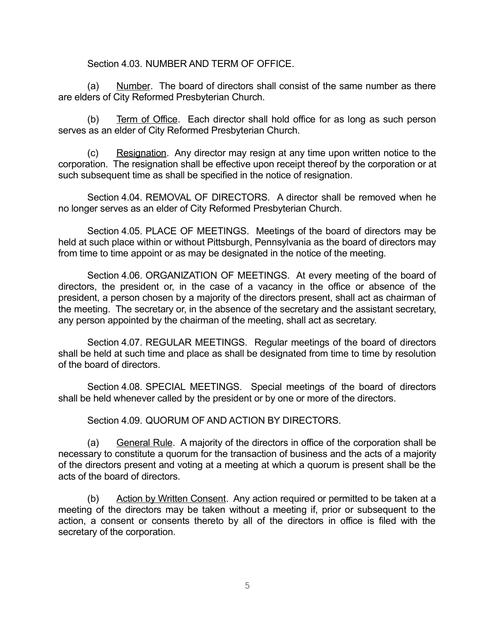Section 4.03. NUMBER AND TERM OF OFFICE.

(a) Number. The board of directors shall consist of the same number as there are elders of City Reformed Presbyterian Church.

(b) Term of Office. Each director shall hold office for as long as such person serves as an elder of City Reformed Presbyterian Church.

(c) Resignation. Any director may resign at any time upon written notice to the corporation. The resignation shall be effective upon receipt thereof by the corporation or at such subsequent time as shall be specified in the notice of resignation.

Section 4.04. REMOVAL OF DIRECTORS. A director shall be removed when he no longer serves as an elder of City Reformed Presbyterian Church.

Section 4.05. PLACE OF MEETINGS. Meetings of the board of directors may be held at such place within or without Pittsburgh, Pennsylvania as the board of directors may from time to time appoint or as may be designated in the notice of the meeting.

Section 4.06. ORGANIZATION OF MEETINGS. At every meeting of the board of directors, the president or, in the case of a vacancy in the office or absence of the president, a person chosen by a majority of the directors present, shall act as chairman of the meeting. The secretary or, in the absence of the secretary and the assistant secretary, any person appointed by the chairman of the meeting, shall act as secretary.

Section 4.07. REGULAR MEETINGS. Regular meetings of the board of directors shall be held at such time and place as shall be designated from time to time by resolution of the board of directors.

Section 4.08. SPECIAL MEETINGS. Special meetings of the board of directors shall be held whenever called by the president or by one or more of the directors.

Section 4.09. QUORUM OF AND ACTION BY DIRECTORS.

(a) General Rule. A majority of the directors in office of the corporation shall be necessary to constitute a quorum for the transaction of business and the acts of a majority of the directors present and voting at a meeting at which a quorum is present shall be the acts of the board of directors.

(b) Action by Written Consent. Any action required or permitted to be taken at a meeting of the directors may be taken without a meeting if, prior or subsequent to the action, a consent or consents thereto by all of the directors in office is filed with the secretary of the corporation.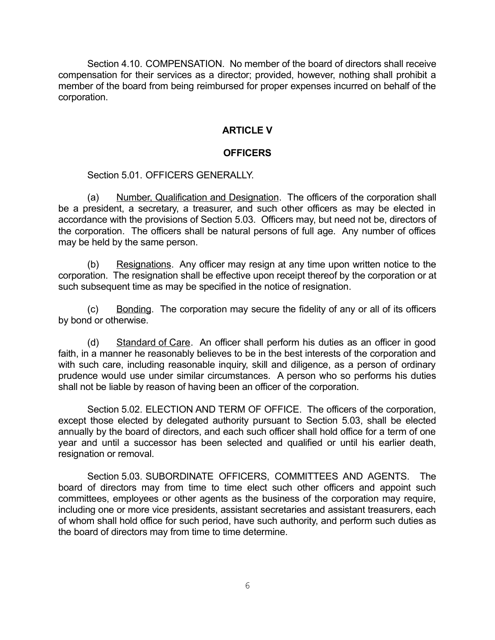Section 4.10. COMPENSATION. No member of the board of directors shall receive compensation for their services as a director; provided, however, nothing shall prohibit a member of the board from being reimbursed for proper expenses incurred on behalf of the corporation.

## **ARTICLE V**

#### **OFFICERS**

Section 5.01. OFFICERS GENERALLY.

(a) Number, Qualification and Designation. The officers of the corporation shall be a president, a secretary, a treasurer, and such other officers as may be elected in accordance with the provisions of Section 5.03. Officers may, but need not be, directors of the corporation. The officers shall be natural persons of full age. Any number of offices may be held by the same person.

(b) Resignations. Any officer may resign at any time upon written notice to the corporation. The resignation shall be effective upon receipt thereof by the corporation or at such subsequent time as may be specified in the notice of resignation.

(c) Bonding. The corporation may secure the fidelity of any or all of its officers by bond or otherwise.

(d) Standard of Care. An officer shall perform his duties as an officer in good faith, in a manner he reasonably believes to be in the best interests of the corporation and with such care, including reasonable inquiry, skill and diligence, as a person of ordinary prudence would use under similar circumstances. A person who so performs his duties shall not be liable by reason of having been an officer of the corporation.

Section 5.02. ELECTION AND TERM OF OFFICE. The officers of the corporation, except those elected by delegated authority pursuant to Section 5.03, shall be elected annually by the board of directors, and each such officer shall hold office for a term of one year and until a successor has been selected and qualified or until his earlier death, resignation or removal.

Section 5.03. SUBORDINATE OFFICERS, COMMITTEES AND AGENTS. The board of directors may from time to time elect such other officers and appoint such committees, employees or other agents as the business of the corporation may require, including one or more vice presidents, assistant secretaries and assistant treasurers, each of whom shall hold office for such period, have such authority, and perform such duties as the board of directors may from time to time determine.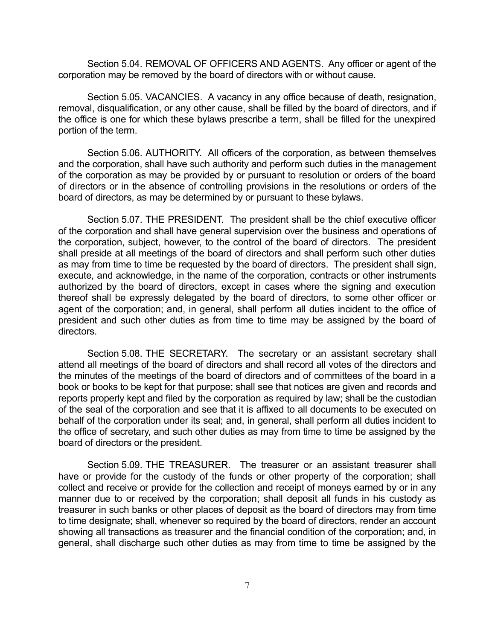Section 5.04. REMOVAL OF OFFICERS AND AGENTS. Any officer or agent of the corporation may be removed by the board of directors with or without cause.

Section 5.05. VACANCIES. A vacancy in any office because of death, resignation, removal, disqualification, or any other cause, shall be filled by the board of directors, and if the office is one for which these bylaws prescribe a term, shall be filled for the unexpired portion of the term.

Section 5.06. AUTHORITY. All officers of the corporation, as between themselves and the corporation, shall have such authority and perform such duties in the management of the corporation as may be provided by or pursuant to resolution or orders of the board of directors or in the absence of controlling provisions in the resolutions or orders of the board of directors, as may be determined by or pursuant to these bylaws.

Section 5.07. THE PRESIDENT. The president shall be the chief executive officer of the corporation and shall have general supervision over the business and operations of the corporation, subject, however, to the control of the board of directors. The president shall preside at all meetings of the board of directors and shall perform such other duties as may from time to time be requested by the board of directors. The president shall sign, execute, and acknowledge, in the name of the corporation, contracts or other instruments authorized by the board of directors, except in cases where the signing and execution thereof shall be expressly delegated by the board of directors, to some other officer or agent of the corporation; and, in general, shall perform all duties incident to the office of president and such other duties as from time to time may be assigned by the board of directors.

Section 5.08. THE SECRETARY. The secretary or an assistant secretary shall attend all meetings of the board of directors and shall record all votes of the directors and the minutes of the meetings of the board of directors and of committees of the board in a book or books to be kept for that purpose; shall see that notices are given and records and reports properly kept and filed by the corporation as required by law; shall be the custodian of the seal of the corporation and see that it is affixed to all documents to be executed on behalf of the corporation under its seal; and, in general, shall perform all duties incident to the office of secretary, and such other duties as may from time to time be assigned by the board of directors or the president.

Section 5.09. THE TREASURER. The treasurer or an assistant treasurer shall have or provide for the custody of the funds or other property of the corporation; shall collect and receive or provide for the collection and receipt of moneys earned by or in any manner due to or received by the corporation; shall deposit all funds in his custody as treasurer in such banks or other places of deposit as the board of directors may from time to time designate; shall, whenever so required by the board of directors, render an account showing all transactions as treasurer and the financial condition of the corporation; and, in general, shall discharge such other duties as may from time to time be assigned by the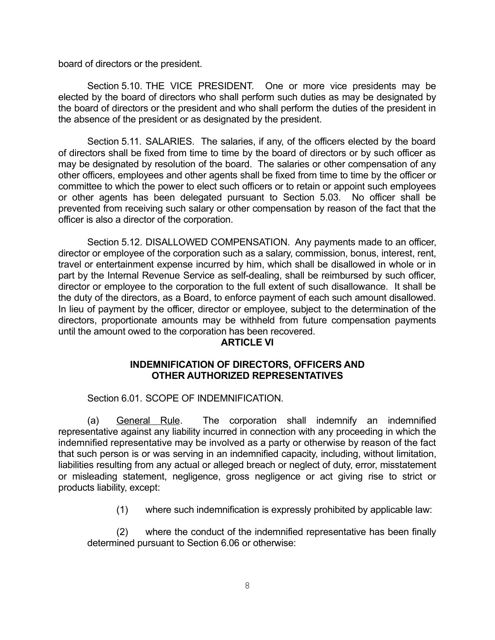board of directors or the president.

Section 5.10. THE VICE PRESIDENT. One or more vice presidents may be elected by the board of directors who shall perform such duties as may be designated by the board of directors or the president and who shall perform the duties of the president in the absence of the president or as designated by the president.

Section 5.11. SALARIES. The salaries, if any, of the officers elected by the board of directors shall be fixed from time to time by the board of directors or by such officer as may be designated by resolution of the board. The salaries or other compensation of any other officers, employees and other agents shall be fixed from time to time by the officer or committee to which the power to elect such officers or to retain or appoint such employees or other agents has been delegated pursuant to Section 5.03. No officer shall be prevented from receiving such salary or other compensation by reason of the fact that the officer is also a director of the corporation.

Section 5.12. DISALLOWED COMPENSATION. Any payments made to an officer, director or employee of the corporation such as a salary, commission, bonus, interest, rent, travel or entertainment expense incurred by him, which shall be disallowed in whole or in part by the Internal Revenue Service as self-dealing, shall be reimbursed by such officer, director or employee to the corporation to the full extent of such disallowance. It shall be the duty of the directors, as a Board, to enforce payment of each such amount disallowed. In lieu of payment by the officer, director or employee, subject to the determination of the directors, proportionate amounts may be withheld from future compensation payments until the amount owed to the corporation has been recovered.

## **ARTICLE VI**

## **INDEMNIFICATION OF DIRECTORS, OFFICERS AND OTHER AUTHORIZED REPRESENTATIVES**

Section 6.01. SCOPE OF INDEMNIFICATION.

(a) General Rule. The corporation shall indemnify an indemnified representative against any liability incurred in connection with any proceeding in which the indemnified representative may be involved as a party or otherwise by reason of the fact that such person is or was serving in an indemnified capacity, including, without limitation, liabilities resulting from any actual or alleged breach or neglect of duty, error, misstatement or misleading statement, negligence, gross negligence or act giving rise to strict or products liability, except:

(1) where such indemnification is expressly prohibited by applicable law:

(2) where the conduct of the indemnified representative has been finally determined pursuant to Section 6.06 or otherwise: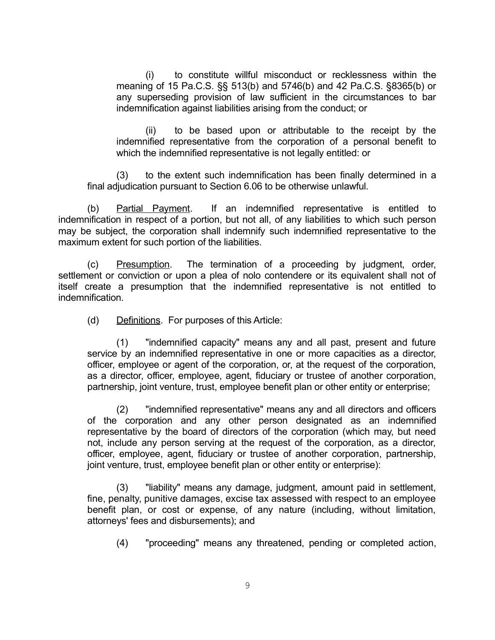(i) to constitute willful misconduct or recklessness within the meaning of 15 Pa.C.S. §§ 513(b) and 5746(b) and 42 Pa.C.S. §8365(b) or any superseding provision of law sufficient in the circumstances to bar indemnification against liabilities arising from the conduct; or

(ii) to be based upon or attributable to the receipt by the indemnified representative from the corporation of a personal benefit to which the indemnified representative is not legally entitled: or

(3) to the extent such indemnification has been finally determined in a final adjudication pursuant to Section 6.06 to be otherwise unlawful.

(b) Partial Payment. If an indemnified representative is entitled to indemnification in respect of a portion, but not all, of any liabilities to which such person may be subject, the corporation shall indemnify such indemnified representative to the maximum extent for such portion of the liabilities.

(c) Presumption. The termination of a proceeding by judgment, order, settlement or conviction or upon a plea of nolo contendere or its equivalent shall not of itself create a presumption that the indemnified representative is not entitled to indemnification.

(d) Definitions. For purposes of this Article:

(1) "indemnified capacity" means any and all past, present and future service by an indemnified representative in one or more capacities as a director, officer, employee or agent of the corporation, or, at the request of the corporation, as a director, officer, employee, agent, fiduciary or trustee of another corporation, partnership, joint venture, trust, employee benefit plan or other entity or enterprise;

(2) "indemnified representative" means any and all directors and officers of the corporation and any other person designated as an indemnified representative by the board of directors of the corporation (which may, but need not, include any person serving at the request of the corporation, as a director, officer, employee, agent, fiduciary or trustee of another corporation, partnership, joint venture, trust, employee benefit plan or other entity or enterprise):

(3) "liability" means any damage, judgment, amount paid in settlement, fine, penalty, punitive damages, excise tax assessed with respect to an employee benefit plan, or cost or expense, of any nature (including, without limitation, attorneys' fees and disbursements); and

(4) "proceeding" means any threatened, pending or completed action,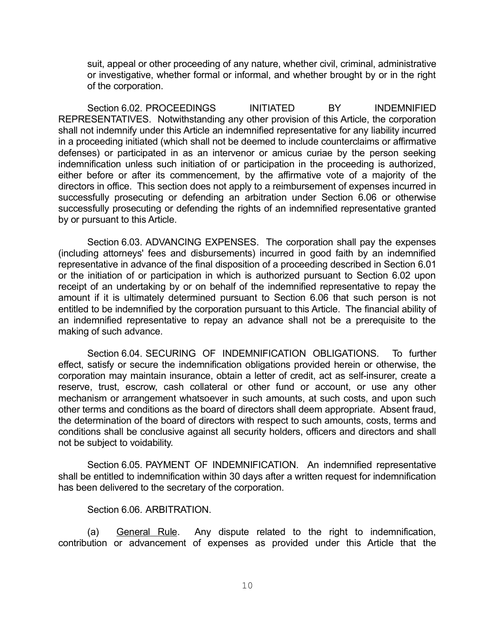suit, appeal or other proceeding of any nature, whether civil, criminal, administrative or investigative, whether formal or informal, and whether brought by or in the right of the corporation.

Section 6.02. PROCEEDINGS INITIATED BY INDEMNIFIED REPRESENTATIVES. Notwithstanding any other provision of this Article, the corporation shall not indemnify under this Article an indemnified representative for any liability incurred in a proceeding initiated (which shall not be deemed to include counterclaims or affirmative defenses) or participated in as an intervenor or amicus curiae by the person seeking indemnification unless such initiation of or participation in the proceeding is authorized, either before or after its commencement, by the affirmative vote of a majority of the directors in office. This section does not apply to a reimbursement of expenses incurred in successfully prosecuting or defending an arbitration under Section 6.06 or otherwise successfully prosecuting or defending the rights of an indemnified representative granted by or pursuant to this Article.

Section 6.03. ADVANCING EXPENSES. The corporation shall pay the expenses (including attorneys' fees and disbursements) incurred in good faith by an indemnified representative in advance of the final disposition of a proceeding described in Section 6.01 or the initiation of or participation in which is authorized pursuant to Section 6.02 upon receipt of an undertaking by or on behalf of the indemnified representative to repay the amount if it is ultimately determined pursuant to Section 6.06 that such person is not entitled to be indemnified by the corporation pursuant to this Article. The financial ability of an indemnified representative to repay an advance shall not be a prerequisite to the making of such advance.

Section 6.04. SECURING OF INDEMNIFICATION OBLIGATIONS. To further effect, satisfy or secure the indemnification obligations provided herein or otherwise, the corporation may maintain insurance, obtain a letter of credit, act as self-insurer, create a reserve, trust, escrow, cash collateral or other fund or account, or use any other mechanism or arrangement whatsoever in such amounts, at such costs, and upon such other terms and conditions as the board of directors shall deem appropriate. Absent fraud, the determination of the board of directors with respect to such amounts, costs, terms and conditions shall be conclusive against all security holders, officers and directors and shall not be subject to voidability.

Section 6.05. PAYMENT OF INDEMNIFICATION. An indemnified representative shall be entitled to indemnification within 30 days after a written request for indemnification has been delivered to the secretary of the corporation.

#### Section 6.06. ARBITRATION.

(a) General Rule. Any dispute related to the right to indemnification, contribution or advancement of expenses as provided under this Article that the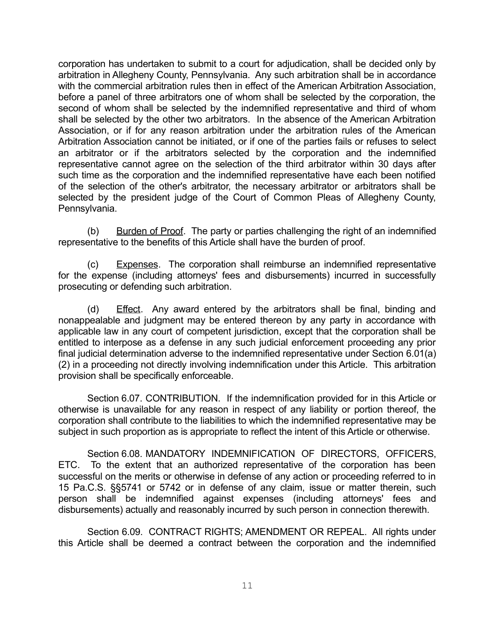corporation has undertaken to submit to a court for adjudication, shall be decided only by arbitration in Allegheny County, Pennsylvania. Any such arbitration shall be in accordance with the commercial arbitration rules then in effect of the American Arbitration Association, before a panel of three arbitrators one of whom shall be selected by the corporation, the second of whom shall be selected by the indemnified representative and third of whom shall be selected by the other two arbitrators. In the absence of the American Arbitration Association, or if for any reason arbitration under the arbitration rules of the American Arbitration Association cannot be initiated, or if one of the parties fails or refuses to select an arbitrator or if the arbitrators selected by the corporation and the indemnified representative cannot agree on the selection of the third arbitrator within 30 days after such time as the corporation and the indemnified representative have each been notified of the selection of the other's arbitrator, the necessary arbitrator or arbitrators shall be selected by the president judge of the Court of Common Pleas of Allegheny County, Pennsylvania.

(b) Burden of Proof. The party or parties challenging the right of an indemnified representative to the benefits of this Article shall have the burden of proof.

(c) Expenses. The corporation shall reimburse an indemnified representative for the expense (including attorneys' fees and disbursements) incurred in successfully prosecuting or defending such arbitration.

(d) Effect. Any award entered by the arbitrators shall be final, binding and nonappealable and judgment may be entered thereon by any party in accordance with applicable law in any court of competent jurisdiction, except that the corporation shall be entitled to interpose as a defense in any such judicial enforcement proceeding any prior final judicial determination adverse to the indemnified representative under Section 6.01(a) (2) in a proceeding not directly involving indemnification under this Article. This arbitration provision shall be specifically enforceable.

Section 6.07. CONTRIBUTION. If the indemnification provided for in this Article or otherwise is unavailable for any reason in respect of any liability or portion thereof, the corporation shall contribute to the liabilities to which the indemnified representative may be subject in such proportion as is appropriate to reflect the intent of this Article or otherwise.

Section 6.08. MANDATORY INDEMNIFICATION OF DIRECTORS, OFFICERS, ETC. To the extent that an authorized representative of the corporation has been successful on the merits or otherwise in defense of any action or proceeding referred to in 15 Pa.C.S. §§5741 or 5742 or in defense of any claim, issue or matter therein, such person shall be indemnified against expenses (including attorneys' fees and disbursements) actually and reasonably incurred by such person in connection therewith.

Section 6.09. CONTRACT RIGHTS; AMENDMENT OR REPEAL. All rights under this Article shall be deemed a contract between the corporation and the indemnified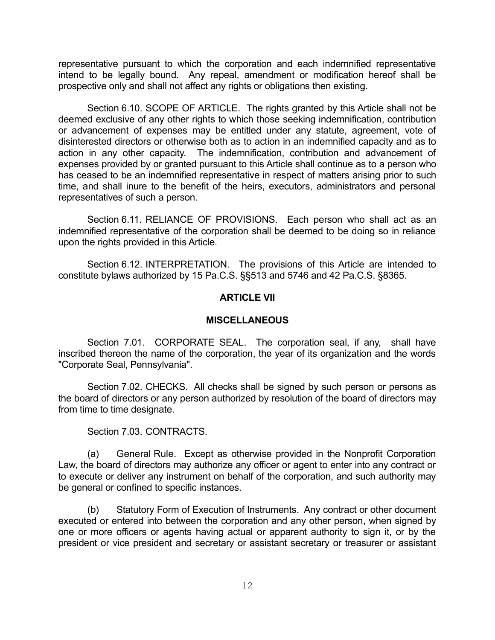representative pursuant to which the corporation and each indemnified representative intend to be legally bound. Any repeal, amendment or modification hereof shall be prospective only and shall not affect any rights or obligations then existing.

Section 6.10. SCOPE OF ARTICLE. The rights granted by this Article shall not be deemed exclusive of any other rights to which those seeking indemnification, contribution or advancement of expenses may be entitled under any statute, agreement, vote of disinterested directors or otherwise both as to action in an indemnified capacity and as to action in any other capacity. The indemnification, contribution and advancement of expenses provided by or granted pursuant to this Article shall continue as to a person who has ceased to be an indemnified representative in respect of matters arising prior to such time, and shall inure to the benefit of the heirs, executors, administrators and personal representatives of such a person.

Section 6.11. RELIANCE OF PROVISIONS. Each person who shall act as an indemnified representative of the corporation shall be deemed to be doing so in reliance upon the rights provided in this Article.

Section 6.12. INTERPRETATION. The provisions of this Article are intended to constitute bylaws authorized by 15 Pa.C.S. §§513 and 5746 and 42 Pa.C.S. §8365.

### **ARTICLE VII**

#### **MISCELLANEOUS**

Section 7.01. CORPORATE SEAL. The corporation seal, if any, shall have inscribed thereon the name of the corporation, the year of its organization and the words "Corporate Seal, Pennsylvania".

Section 7.02. CHECKS. All checks shall be signed by such person or persons as the board of directors or any person authorized by resolution of the board of directors may from time to time designate.

Section 7.03. CONTRACTS.

(a) General Rule. Except as otherwise provided in the Nonprofit Corporation Law, the board of directors may authorize any officer or agent to enter into any contract or to execute or deliver any instrument on behalf of the corporation, and such authority may be general or confined to specific instances.

(b) Statutory Form of Execution of Instruments. Any contract or other document executed or entered into between the corporation and any other person, when signed by one or more officers or agents having actual or apparent authority to sign it, or by the president or vice president and secretary or assistant secretary or treasurer or assistant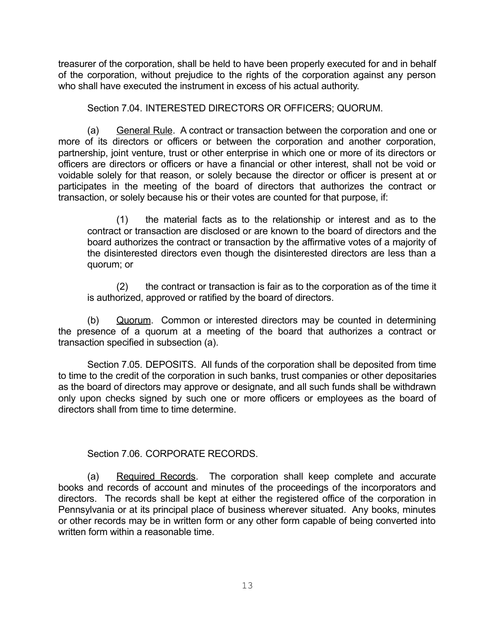treasurer of the corporation, shall be held to have been properly executed for and in behalf of the corporation, without prejudice to the rights of the corporation against any person who shall have executed the instrument in excess of his actual authority.

Section 7.04. INTERESTED DIRECTORS OR OFFICERS; QUORUM.

(a) General Rule. A contract or transaction between the corporation and one or more of its directors or officers or between the corporation and another corporation, partnership, joint venture, trust or other enterprise in which one or more of its directors or officers are directors or officers or have a financial or other interest, shall not be void or voidable solely for that reason, or solely because the director or officer is present at or participates in the meeting of the board of directors that authorizes the contract or transaction, or solely because his or their votes are counted for that purpose, if:

(1) the material facts as to the relationship or interest and as to the contract or transaction are disclosed or are known to the board of directors and the board authorizes the contract or transaction by the affirmative votes of a majority of the disinterested directors even though the disinterested directors are less than a quorum; or

(2) the contract or transaction is fair as to the corporation as of the time it is authorized, approved or ratified by the board of directors.

(b) Quorum. Common or interested directors may be counted in determining the presence of a quorum at a meeting of the board that authorizes a contract or transaction specified in subsection (a).

Section 7.05. DEPOSITS. All funds of the corporation shall be deposited from time to time to the credit of the corporation in such banks, trust companies or other depositaries as the board of directors may approve or designate, and all such funds shall be withdrawn only upon checks signed by such one or more officers or employees as the board of directors shall from time to time determine.

# Section 7.06. CORPORATE RECORDS.

(a) Required Records. The corporation shall keep complete and accurate books and records of account and minutes of the proceedings of the incorporators and directors. The records shall be kept at either the registered office of the corporation in Pennsylvania or at its principal place of business wherever situated. Any books, minutes or other records may be in written form or any other form capable of being converted into written form within a reasonable time.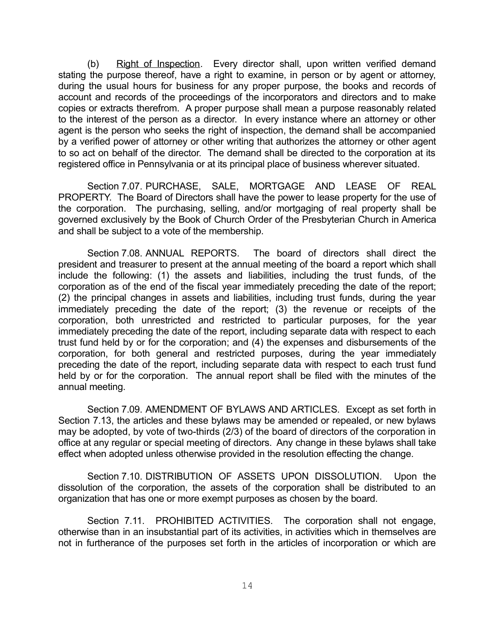(b) Right of Inspection. Every director shall, upon written verified demand stating the purpose thereof, have a right to examine, in person or by agent or attorney, during the usual hours for business for any proper purpose, the books and records of account and records of the proceedings of the incorporators and directors and to make copies or extracts therefrom. A proper purpose shall mean a purpose reasonably related to the interest of the person as a director. In every instance where an attorney or other agent is the person who seeks the right of inspection, the demand shall be accompanied by a verified power of attorney or other writing that authorizes the attorney or other agent to so act on behalf of the director. The demand shall be directed to the corporation at its registered office in Pennsylvania or at its principal place of business wherever situated.

Section 7.07. PURCHASE, SALE, MORTGAGE AND LEASE OF REAL PROPERTY. The Board of Directors shall have the power to lease property for the use of the corporation. The purchasing, selling, and/or mortgaging of real property shall be governed exclusively by the Book of Church Order of the Presbyterian Church in America and shall be subject to a vote of the membership.

Section 7.08. ANNUAL REPORTS. The board of directors shall direct the president and treasurer to present at the annual meeting of the board a report which shall include the following: (1) the assets and liabilities, including the trust funds, of the corporation as of the end of the fiscal year immediately preceding the date of the report; (2) the principal changes in assets and liabilities, including trust funds, during the year immediately preceding the date of the report; (3) the revenue or receipts of the corporation, both unrestricted and restricted to particular purposes, for the year immediately preceding the date of the report, including separate data with respect to each trust fund held by or for the corporation; and (4) the expenses and disbursements of the corporation, for both general and restricted purposes, during the year immediately preceding the date of the report, including separate data with respect to each trust fund held by or for the corporation. The annual report shall be filed with the minutes of the annual meeting.

Section 7.09. AMENDMENT OF BYLAWS AND ARTICLES. Except as set forth in Section 7.13, the articles and these bylaws may be amended or repealed, or new bylaws may be adopted, by vote of two-thirds (2/3) of the board of directors of the corporation in office at any regular or special meeting of directors. Any change in these bylaws shall take effect when adopted unless otherwise provided in the resolution effecting the change.

Section 7.10. DISTRIBUTION OF ASSETS UPON DISSOLUTION. Upon the dissolution of the corporation, the assets of the corporation shall be distributed to an organization that has one or more exempt purposes as chosen by the board.

Section 7.11. PROHIBITED ACTIVITIES. The corporation shall not engage, otherwise than in an insubstantial part of its activities, in activities which in themselves are not in furtherance of the purposes set forth in the articles of incorporation or which are